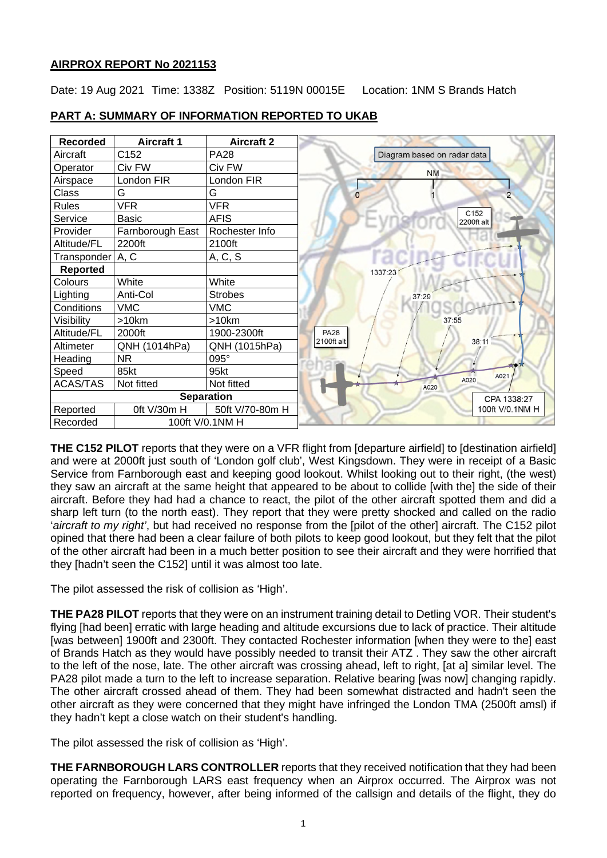# **AIRPROX REPORT No 2021153**

Date: 19 Aug 2021 Time: 1338Z Position: 5119N 00015E Location: 1NM S Brands Hatch

| <b>Recorded</b>             | <b>Aircraft 1</b> | <b>Aircraft 2</b> |                                |
|-----------------------------|-------------------|-------------------|--------------------------------|
| Aircraft                    | C152              | <b>PA28</b>       | Diagram based on radar data    |
| Operator                    | Civ FW            | Civ FW            | <b>NM</b>                      |
| Airspace                    | London FIR        | London FIR        |                                |
| Class                       | G                 | G                 | $\overline{2}$<br>$\Omega$     |
| <b>Rules</b>                | <b>VFR</b>        | <b>VFR</b>        |                                |
| Service                     | <b>Basic</b>      | <b>AFIS</b>       | C <sub>152</sub><br>2200ft alt |
| Provider                    | Farnborough East  | Rochester Info    |                                |
| Altitude/FL                 | 2200ft            | 2100ft            |                                |
| Transponder   A, C          |                   | A, C, S           |                                |
| <b>Reported</b>             |                   |                   | 1337:23                        |
| Colours                     | White             | White             |                                |
| Lighting                    | Anti-Col          | <b>Strobes</b>    | 37:29                          |
| Conditions                  | <b>VMC</b>        | <b>VMC</b>        |                                |
| Visibility                  | $>10$ km          | >10km             | 37:55                          |
| Altitude/FL                 | 2000ft            | 1900-2300ft       | <b>PA28</b>                    |
| Altimeter                   | QNH (1014hPa)     | QNH (1015hPa)     | 2100ft alt<br>38:11            |
| Heading                     | <b>NR</b>         | 095°              |                                |
| Speed                       | 85kt              | 95kt              | A021                           |
| <b>ACAS/TAS</b>             | Not fitted        | Not fitted        | A020<br>A020                   |
| <b>Separation</b>           |                   |                   | CPA 1338:27                    |
| Reported                    | 0ft V/30m H       | 50ft V/70-80m H   | 100ft V/0.1NM H                |
| 100ft V/0.1NM H<br>Recorded |                   |                   |                                |

# **PART A: SUMMARY OF INFORMATION REPORTED TO UKAB**

**THE C152 PILOT** reports that they were on a VFR flight from [departure airfield] to [destination airfield] and were at 2000ft just south of 'London golf club', West Kingsdown. They were in receipt of a Basic Service from Farnborough east and keeping good lookout. Whilst looking out to their right, (the west) they saw an aircraft at the same height that appeared to be about to collide [with the] the side of their aircraft. Before they had had a chance to react, the pilot of the other aircraft spotted them and did a sharp left turn (to the north east). They report that they were pretty shocked and called on the radio '*aircraft to my right'*, but had received no response from the [pilot of the other] aircraft. The C152 pilot opined that there had been a clear failure of both pilots to keep good lookout, but they felt that the pilot of the other aircraft had been in a much better position to see their aircraft and they were horrified that they [hadn't seen the C152] until it was almost too late.

The pilot assessed the risk of collision as 'High'.

**THE PA28 PILOT** reports that they were on an instrument training detail to Detling VOR. Their student's flying [had been] erratic with large heading and altitude excursions due to lack of practice. Their altitude [was between] 1900ft and 2300ft. They contacted Rochester information [when they were to the] east of Brands Hatch as they would have possibly needed to transit their ATZ . They saw the other aircraft to the left of the nose, late. The other aircraft was crossing ahead, left to right, [at a] similar level. The PA28 pilot made a turn to the left to increase separation. Relative bearing [was now] changing rapidly. The other aircraft crossed ahead of them. They had been somewhat distracted and hadn't seen the other aircraft as they were concerned that they might have infringed the London TMA (2500ft amsl) if they hadn't kept a close watch on their student's handling.

The pilot assessed the risk of collision as 'High'.

**THE FARNBOROUGH LARS CONTROLLER** reports that they received notification that they had been operating the Farnborough LARS east frequency when an Airprox occurred. The Airprox was not reported on frequency, however, after being informed of the callsign and details of the flight, they do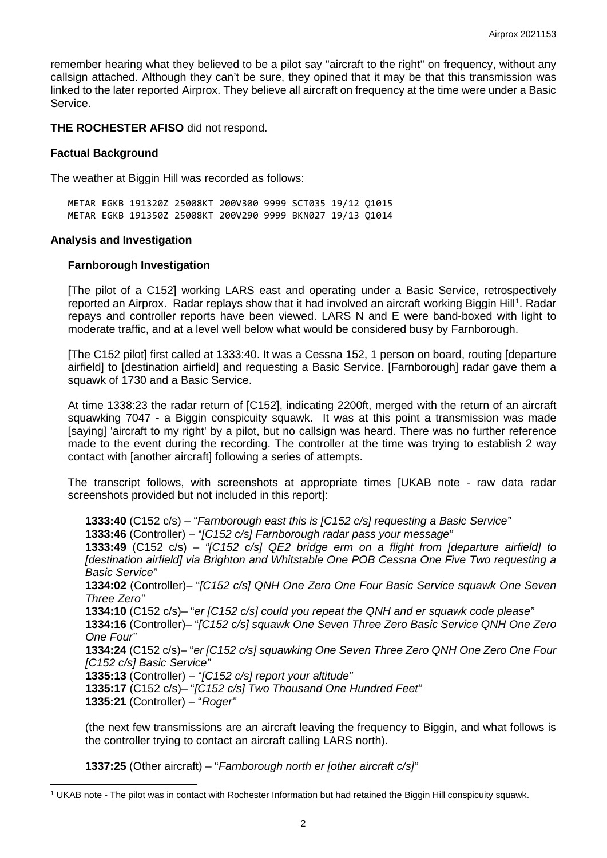remember hearing what they believed to be a pilot say "aircraft to the right" on frequency, without any callsign attached. Although they can't be sure, they opined that it may be that this transmission was linked to the later reported Airprox. They believe all aircraft on frequency at the time were under a Basic Service.

**THE ROCHESTER AFISO** did not respond.

#### **Factual Background**

The weather at Biggin Hill was recorded as follows:

METAR EGKB 191320Z 25008KT 200V300 9999 SCT035 19/12 Q1015 METAR EGKB 191350Z 25008KT 200V290 9999 BKN027 19/13 Q1014

#### **Analysis and Investigation**

#### **Farnborough Investigation**

[The pilot of a C152] working LARS east and operating under a Basic Service, retrospectively reported an Airprox. Radar replays show that it had involved an aircraft working Biggin Hill<sup>[1](#page-1-0)</sup>. Radar repays and controller reports have been viewed. LARS N and E were band-boxed with light to moderate traffic, and at a level well below what would be considered busy by Farnborough.

[The C152 pilot] first called at 1333:40. It was a Cessna 152, 1 person on board, routing [departure airfield] to [destination airfield] and requesting a Basic Service. [Farnborough] radar gave them a squawk of 1730 and a Basic Service.

At time 1338:23 the radar return of [C152], indicating 2200ft, merged with the return of an aircraft squawking 7047 - a Biggin conspicuity squawk. It was at this point a transmission was made [saying] 'aircraft to my right' by a pilot, but no callsign was heard. There was no further reference made to the event during the recording. The controller at the time was trying to establish 2 way contact with [another aircraft] following a series of attempts.

The transcript follows, with screenshots at appropriate times [UKAB note - raw data radar screenshots provided but not included in this report]:

**1333:40** (C152 c/s) – "*Farnborough east this is [C152 c/s] requesting a Basic Service"* **1333:46** (Controller) – "*[C152 c/s] Farnborough radar pass your message"* **1333:49** (C152 c/s) – *"[C152 c/s] QE2 bridge erm on a flight from [departure airfield] to [destination airfield] via Brighton and Whitstable One POB Cessna One Five Two requesting a Basic Service"*

**1334:02** (Controller)– "*[C152 c/s] QNH One Zero One Four Basic Service squawk One Seven Three Zero"*

**1334:10** (C152 c/s)– "*er [C152 c/s] could you repeat the QNH and er squawk code please"*

**1334:16** (Controller)– "*[C152 c/s] squawk One Seven Three Zero Basic Service QNH One Zero One Four"*

**1334:24** (C152 c/s)– "*er [C152 c/s] squawking One Seven Three Zero QNH One Zero One Four [C152 c/s] Basic Service"*

**1335:13** (Controller) – "*[C152 c/s] report your altitude"*

**1335:17** (C152 c/s)– "*[C152 c/s] Two Thousand One Hundred Feet"*

**1335:21** (Controller) – "*Roger"*

(the next few transmissions are an aircraft leaving the frequency to Biggin, and what follows is the controller trying to contact an aircraft calling LARS north).

**1337:25** (Other aircraft) – "*Farnborough north er [other aircraft c/s]"*

<span id="page-1-0"></span><sup>1</sup> UKAB note - The pilot was in contact with Rochester Information but had retained the Biggin Hill conspicuity squawk.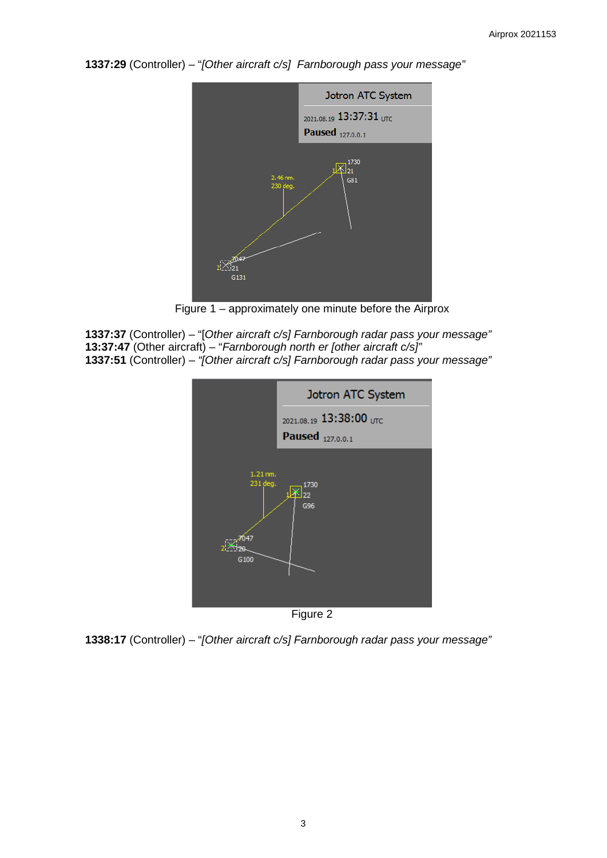**1337:29** (Controller) – "*[Other aircraft c/s] Farnborough pass your message"*



Figure 1 – approximately one minute before the Airprox

**1337:37** (Controller) – "[*Other aircraft c/s] Farnborough radar pass your message"* **13:37:47** (Other aircraft) – "*Farnborough north er [other aircraft c/s]"* **1337:51** (Controller) – *"[Other aircraft c/s] Farnborough radar pass your message"*



**1338:17** (Controller) – "*[Other aircraft c/s] Farnborough radar pass your message"*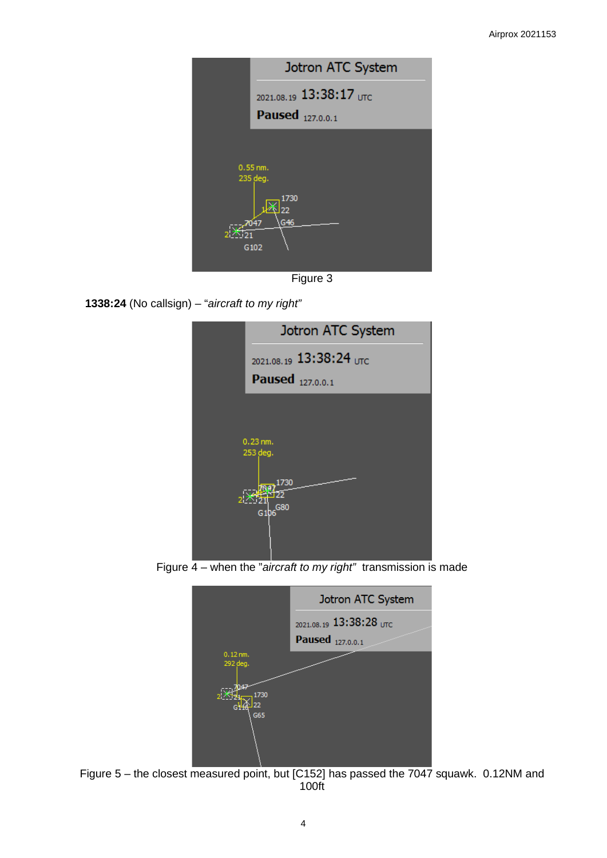| Jotron ATC System                     |
|---------------------------------------|
| $_{2021.08.19}$ 13:38:17 UTC          |
| Paused $_{127,0.0.1}$                 |
|                                       |
| $0.55$ nm.                            |
| 235 deg.<br>1730<br>フフ<br>G46<br>7047 |
| G102                                  |
|                                       |

Figure 3





Figure 4 – when the "*aircraft to my right"* transmission is made



Figure 5 – the closest measured point, but [C152] has passed the 7047 squawk. 0.12NM and 100ft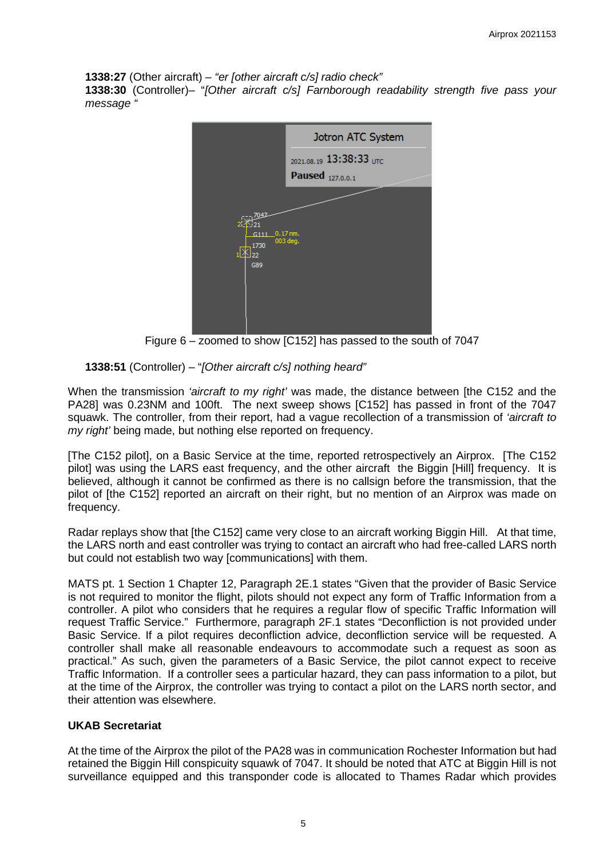**1338:27** (Other aircraft) – *"er [other aircraft c/s] radio check"* **1338:30** (Controller)– "*[Other aircraft c/s] Farnborough readability strength five pass your message "*



Figure 6 – zoomed to show [C152] has passed to the south of 7047

# **1338:51** (Controller) – "*[Other aircraft c/s] nothing heard"*

When the transmission *'aircraft to my right'* was made, the distance between [the C152 and the PA28] was 0.23NM and 100ft. The next sweep shows [C152] has passed in front of the 7047 squawk. The controller, from their report, had a vague recollection of a transmission of *'aircraft to my right'* being made, but nothing else reported on frequency.

[The C152 pilot], on a Basic Service at the time, reported retrospectively an Airprox. [The C152 pilot] was using the LARS east frequency, and the other aircraft the Biggin [Hill] frequency. It is believed, although it cannot be confirmed as there is no callsign before the transmission, that the pilot of [the C152] reported an aircraft on their right, but no mention of an Airprox was made on frequency.

Radar replays show that [the C152] came very close to an aircraft working Biggin Hill. At that time, the LARS north and east controller was trying to contact an aircraft who had free-called LARS north but could not establish two way [communications] with them.

MATS pt. 1 Section 1 Chapter 12, Paragraph 2E.1 states "Given that the provider of Basic Service is not required to monitor the flight, pilots should not expect any form of Traffic Information from a controller. A pilot who considers that he requires a regular flow of specific Traffic Information will request Traffic Service." Furthermore, paragraph 2F.1 states "Deconfliction is not provided under Basic Service. If a pilot requires deconfliction advice, deconfliction service will be requested. A controller shall make all reasonable endeavours to accommodate such a request as soon as practical." As such, given the parameters of a Basic Service, the pilot cannot expect to receive Traffic Information. If a controller sees a particular hazard, they can pass information to a pilot, but at the time of the Airprox, the controller was trying to contact a pilot on the LARS north sector, and their attention was elsewhere.

## **UKAB Secretariat**

At the time of the Airprox the pilot of the PA28 was in communication Rochester Information but had retained the Biggin Hill conspicuity squawk of 7047. It should be noted that ATC at Biggin Hill is not surveillance equipped and this transponder code is allocated to Thames Radar which provides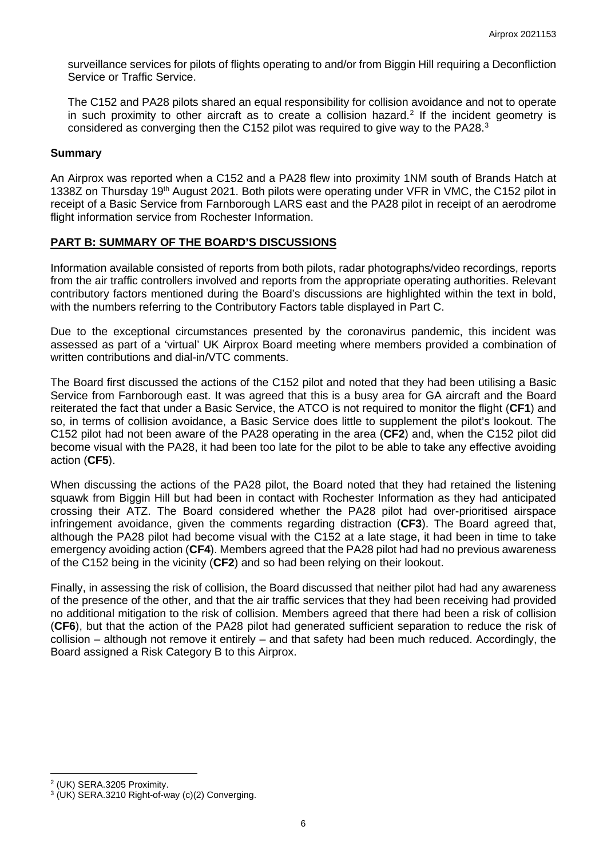surveillance services for pilots of flights operating to and/or from Biggin Hill requiring a Deconfliction Service or Traffic Service.

The C152 and PA28 pilots shared an equal responsibility for collision avoidance and not to operate in such proximity to other aircraft as to create a collision hazard. [2](#page-5-0) If the incident geometry is considered as converging then the C152 pilot was required to give way to the PA28. $3$ 

### **Summary**

An Airprox was reported when a C152 and a PA28 flew into proximity 1NM south of Brands Hatch at 1338Z on Thursday 19th August 2021. Both pilots were operating under VFR in VMC, the C152 pilot in receipt of a Basic Service from Farnborough LARS east and the PA28 pilot in receipt of an aerodrome flight information service from Rochester Information.

## **PART B: SUMMARY OF THE BOARD'S DISCUSSIONS**

Information available consisted of reports from both pilots, radar photographs/video recordings, reports from the air traffic controllers involved and reports from the appropriate operating authorities. Relevant contributory factors mentioned during the Board's discussions are highlighted within the text in bold, with the numbers referring to the Contributory Factors table displayed in Part C.

Due to the exceptional circumstances presented by the coronavirus pandemic, this incident was assessed as part of a 'virtual' UK Airprox Board meeting where members provided a combination of written contributions and dial-in/VTC comments.

The Board first discussed the actions of the C152 pilot and noted that they had been utilising a Basic Service from Farnborough east. It was agreed that this is a busy area for GA aircraft and the Board reiterated the fact that under a Basic Service, the ATCO is not required to monitor the flight (**CF1**) and so, in terms of collision avoidance, a Basic Service does little to supplement the pilot's lookout. The C152 pilot had not been aware of the PA28 operating in the area (**CF2**) and, when the C152 pilot did become visual with the PA28, it had been too late for the pilot to be able to take any effective avoiding action (**CF5**).

When discussing the actions of the PA28 pilot, the Board noted that they had retained the listening squawk from Biggin Hill but had been in contact with Rochester Information as they had anticipated crossing their ATZ. The Board considered whether the PA28 pilot had over-prioritised airspace infringement avoidance, given the comments regarding distraction (**CF3**). The Board agreed that, although the PA28 pilot had become visual with the C152 at a late stage, it had been in time to take emergency avoiding action (**CF4**). Members agreed that the PA28 pilot had had no previous awareness of the C152 being in the vicinity (**CF2**) and so had been relying on their lookout.

Finally, in assessing the risk of collision, the Board discussed that neither pilot had had any awareness of the presence of the other, and that the air traffic services that they had been receiving had provided no additional mitigation to the risk of collision. Members agreed that there had been a risk of collision (**CF6**), but that the action of the PA28 pilot had generated sufficient separation to reduce the risk of collision – although not remove it entirely – and that safety had been much reduced. Accordingly, the Board assigned a Risk Category B to this Airprox.

<span id="page-5-0"></span><sup>2</sup> (UK) SERA.3205 Proximity.

<span id="page-5-1"></span><sup>3</sup> (UK) SERA.3210 Right-of-way (c)(2) Converging.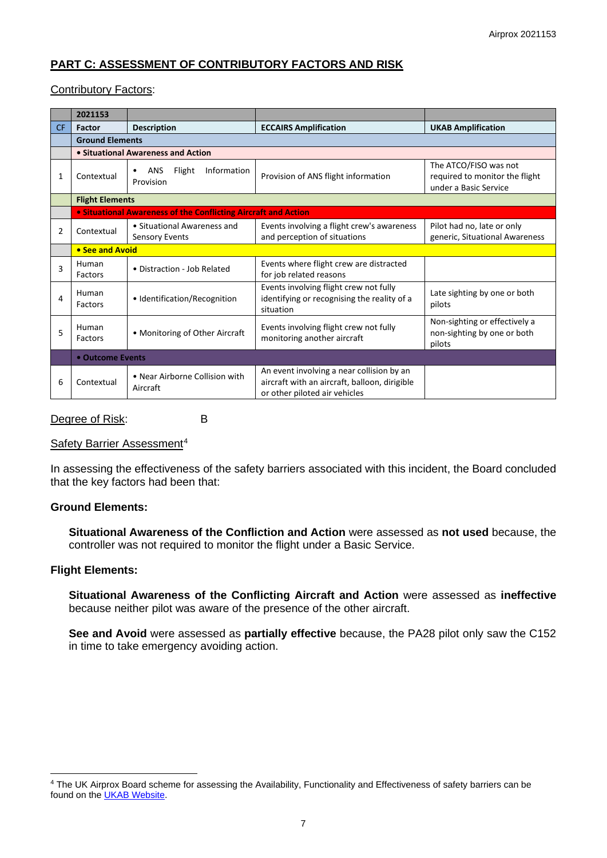# **PART C: ASSESSMENT OF CONTRIBUTORY FACTORS AND RISK**

#### Contributory Factors:

|     | 2021153                            |                                                                |                                                                                                                             |                                                                                  |  |  |  |  |
|-----|------------------------------------|----------------------------------------------------------------|-----------------------------------------------------------------------------------------------------------------------------|----------------------------------------------------------------------------------|--|--|--|--|
| CF. | Factor                             | <b>Description</b>                                             | <b>ECCAIRS Amplification</b>                                                                                                | <b>UKAB Amplification</b>                                                        |  |  |  |  |
|     | <b>Ground Elements</b>             |                                                                |                                                                                                                             |                                                                                  |  |  |  |  |
|     | • Situational Awareness and Action |                                                                |                                                                                                                             |                                                                                  |  |  |  |  |
| 1   | Contextual                         | Information<br><b>ANS</b><br>Flight<br>$\bullet$<br>Provision  | Provision of ANS flight information                                                                                         | The ATCO/FISO was not<br>required to monitor the flight<br>under a Basic Service |  |  |  |  |
|     |                                    | <b>Flight Elements</b>                                         |                                                                                                                             |                                                                                  |  |  |  |  |
|     |                                    | • Situational Awareness of the Conflicting Aircraft and Action |                                                                                                                             |                                                                                  |  |  |  |  |
| 2   | Contextual                         | • Situational Awareness and<br><b>Sensory Events</b>           | Events involving a flight crew's awareness<br>and perception of situations                                                  | Pilot had no, late or only<br>generic, Situational Awareness                     |  |  |  |  |
|     | • See and Avoid                    |                                                                |                                                                                                                             |                                                                                  |  |  |  |  |
| 3   | Human<br><b>Factors</b>            | • Distraction - Job Related                                    | Events where flight crew are distracted<br>for job related reasons                                                          |                                                                                  |  |  |  |  |
| 4   | Human<br>Factors                   | • Identification/Recognition                                   | Events involving flight crew not fully<br>identifying or recognising the reality of a<br>situation                          | Late sighting by one or both<br>pilots                                           |  |  |  |  |
| 5   | Human<br>Factors                   | • Monitoring of Other Aircraft                                 | Events involving flight crew not fully<br>monitoring another aircraft                                                       | Non-sighting or effectively a<br>non-sighting by one or both<br>pilots           |  |  |  |  |
|     | • Outcome Events                   |                                                                |                                                                                                                             |                                                                                  |  |  |  |  |
| 6   | Contextual                         | • Near Airborne Collision with<br>Aircraft                     | An event involving a near collision by an<br>aircraft with an aircraft, balloon, dirigible<br>or other piloted air vehicles |                                                                                  |  |  |  |  |

Degree of Risk: B

Safety Barrier Assessment<sup>[4](#page-6-0)</sup>

In assessing the effectiveness of the safety barriers associated with this incident, the Board concluded that the key factors had been that:

## **Ground Elements:**

**Situational Awareness of the Confliction and Action** were assessed as **not used** because, the controller was not required to monitor the flight under a Basic Service.

#### **Flight Elements:**

**Situational Awareness of the Conflicting Aircraft and Action** were assessed as **ineffective** because neither pilot was aware of the presence of the other aircraft.

**See and Avoid** were assessed as **partially effective** because, the PA28 pilot only saw the C152 in time to take emergency avoiding action.

<span id="page-6-0"></span><sup>&</sup>lt;sup>4</sup> The UK Airprox Board scheme for assessing the Availability, Functionality and Effectiveness of safety barriers can be found on the **UKAB Website**.